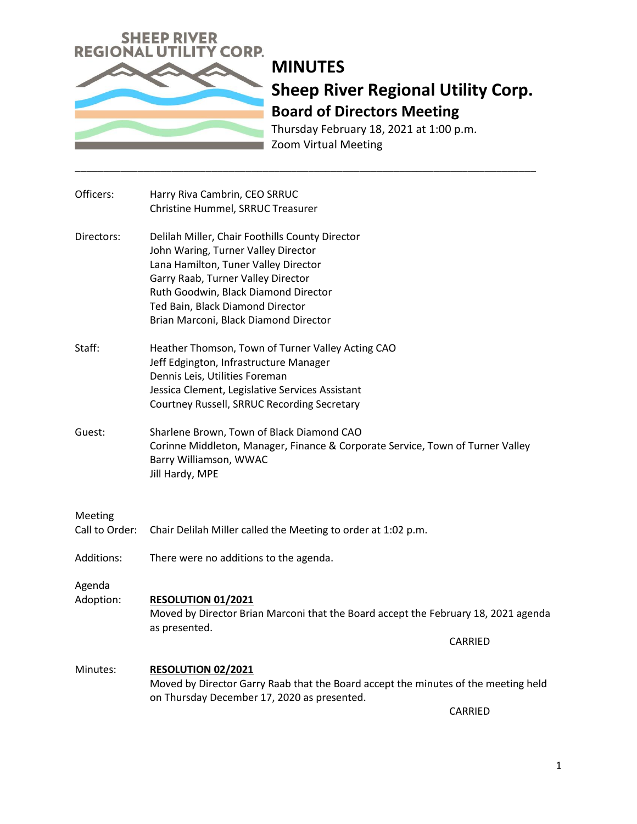

Thursday February 18, 2021 at 1:00 p.m. Zoom Virtual Meeting

| Officers:                 | Harry Riva Cambrin, CEO SRRUC<br>Christine Hummel, SRRUC Treasurer                                                                                                                                                                                                                        |
|---------------------------|-------------------------------------------------------------------------------------------------------------------------------------------------------------------------------------------------------------------------------------------------------------------------------------------|
| Directors:                | Delilah Miller, Chair Foothills County Director<br>John Waring, Turner Valley Director<br>Lana Hamilton, Tuner Valley Director<br>Garry Raab, Turner Valley Director<br>Ruth Goodwin, Black Diamond Director<br>Ted Bain, Black Diamond Director<br>Brian Marconi, Black Diamond Director |
| Staff:                    | Heather Thomson, Town of Turner Valley Acting CAO<br>Jeff Edgington, Infrastructure Manager<br>Dennis Leis, Utilities Foreman<br>Jessica Clement, Legislative Services Assistant<br>Courtney Russell, SRRUC Recording Secretary                                                           |
| Guest:                    | Sharlene Brown, Town of Black Diamond CAO<br>Corinne Middleton, Manager, Finance & Corporate Service, Town of Turner Valley<br>Barry Williamson, WWAC<br>Jill Hardy, MPE                                                                                                                  |
| Meeting<br>Call to Order: | Chair Delilah Miller called the Meeting to order at 1:02 p.m.                                                                                                                                                                                                                             |
|                           |                                                                                                                                                                                                                                                                                           |
| Additions:                | There were no additions to the agenda.                                                                                                                                                                                                                                                    |
| Agenda<br>Adoption:       | RESOLUTION 01/2021<br>Moved by Director Brian Marconi that the Board accept the February 18, 2021 agenda<br>as presented.                                                                                                                                                                 |
|                           | <b>CARRIED</b>                                                                                                                                                                                                                                                                            |
| Minutes:                  | RESOLUTION 02/2021<br>Moved by Director Garry Raab that the Board accept the minutes of the meeting held<br>on Thursday December 17, 2020 as presented.                                                                                                                                   |
|                           | CARRIED                                                                                                                                                                                                                                                                                   |

\_\_\_\_\_\_\_\_\_\_\_\_\_\_\_\_\_\_\_\_\_\_\_\_\_\_\_\_\_\_\_\_\_\_\_\_\_\_\_\_\_\_\_\_\_\_\_\_\_\_\_\_\_\_\_\_\_\_\_\_\_\_\_\_\_\_\_\_\_\_\_\_\_\_\_\_\_\_\_\_\_

1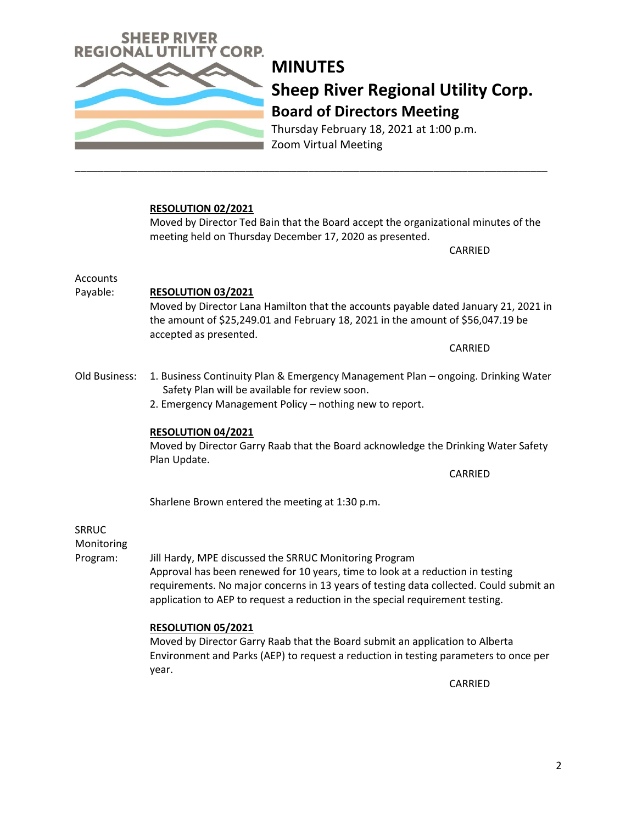

Thursday February 18, 2021 at 1:00 p.m. Zoom Virtual Meeting

#### **RESOLUTION 02/2021**

Moved by Director Ted Bain that the Board accept the organizational minutes of the meeting held on Thursday December 17, 2020 as presented.

CARRIED

Accounts

#### Payable: **RESOLUTION 03/2021**

Moved by Director Lana Hamilton that the accounts payable dated January 21, 2021 in the amount of \$25,249.01 and February 18, 2021 in the amount of \$56,047.19 be accepted as presented.

CARRIED

Old Business: 1. Business Continuity Plan & Emergency Management Plan – ongoing. Drinking Water Safety Plan will be available for review soon.

\_\_\_\_\_\_\_\_\_\_\_\_\_\_\_\_\_\_\_\_\_\_\_\_\_\_\_\_\_\_\_\_\_\_\_\_\_\_\_\_\_\_\_\_\_\_\_\_\_\_\_\_\_\_\_\_\_\_\_\_\_\_\_\_\_\_\_\_\_\_\_\_\_\_\_\_\_\_\_\_\_\_\_

2. Emergency Management Policy – nothing new to report.

#### **RESOLUTION 04/2021**

Moved by Director Garry Raab that the Board acknowledge the Drinking Water Safety Plan Update.

CARRIED

Sharlene Brown entered the meeting at 1:30 p.m.

### SRRUC

Monitoring

Program: Jill Hardy, MPE discussed the SRRUC Monitoring Program Approval has been renewed for 10 years, time to look at a reduction in testing requirements. No major concerns in 13 years of testing data collected. Could submit an application to AEP to request a reduction in the special requirement testing.

#### **RESOLUTION 05/2021**

Moved by Director Garry Raab that the Board submit an application to Alberta Environment and Parks (AEP) to request a reduction in testing parameters to once per year.

CARRIED

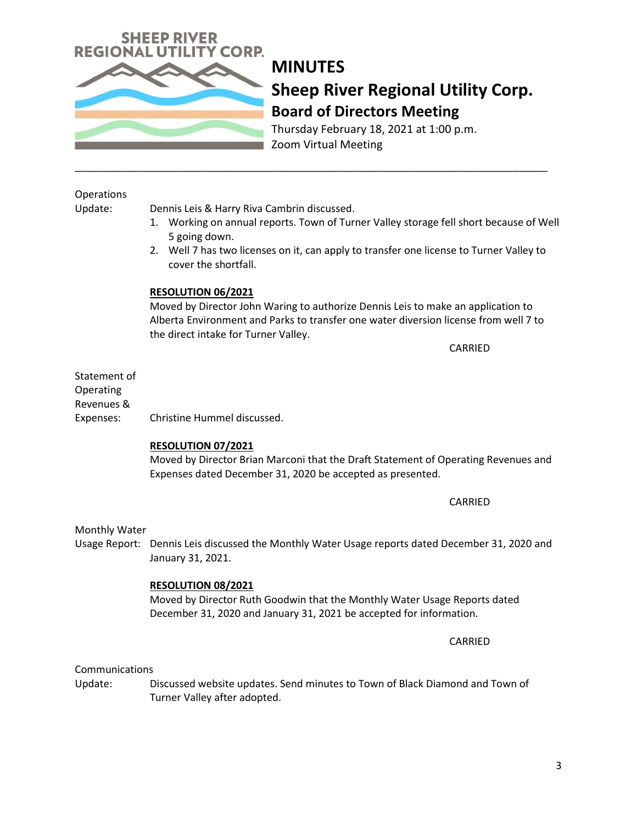

Thursday February 18, 2021 at 1:00 p.m. Zoom Virtual Meeting

#### **Operations**

Update: Dennis Leis & Harry Riva Cambrin discussed.

- 1. Working on annual reports. Town of Turner Valley storage fell short because of Well 5 going down.
- 2. Well 7 has two licenses on it, can apply to transfer one license to Turner Valley to cover the shortfall.

\_\_\_\_\_\_\_\_\_\_\_\_\_\_\_\_\_\_\_\_\_\_\_\_\_\_\_\_\_\_\_\_\_\_\_\_\_\_\_\_\_\_\_\_\_\_\_\_\_\_\_\_\_\_\_\_\_\_\_\_\_\_\_\_\_\_\_\_\_\_\_\_\_\_\_\_\_\_\_\_\_\_\_

#### **RESOLUTION 06/2021**

Moved by Director John Waring to authorize Dennis Leis to make an application to Alberta Environment and Parks to transfer one water diversion license from well 7 to the direct intake for Turner Valley.

CARRIED

Statement of Operating Revenues & Expenses: Christine Hummel discussed.

#### **RESOLUTION 07/2021**

Moved by Director Brian Marconi that the Draft Statement of Operating Revenues and Expenses dated December 31, 2020 be accepted as presented.

CARRIED

#### Monthly Water

Usage Report: Dennis Leis discussed the Monthly Water Usage reports dated December 31, 2020 and January 31, 2021.

#### **RESOLUTION 08/2021**

Moved by Director Ruth Goodwin that the Monthly Water Usage Reports dated December 31, 2020 and January 31, 2021 be accepted for information.

CARRIED

Communications

Update: Discussed website updates. Send minutes to Town of Black Diamond and Town of Turner Valley after adopted.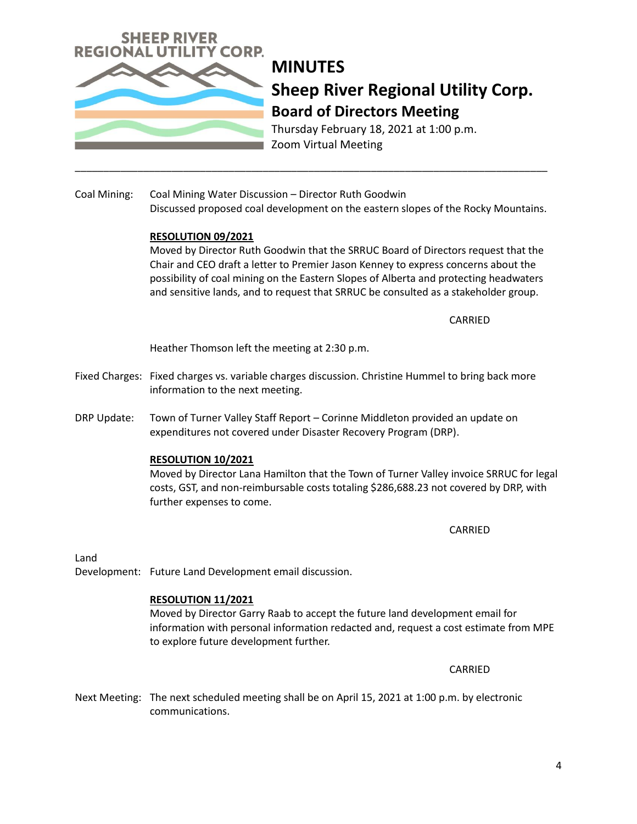

Thursday February 18, 2021 at 1:00 p.m. Zoom Virtual Meeting

Coal Mining: Coal Mining Water Discussion – Director Ruth Goodwin Discussed proposed coal development on the eastern slopes of the Rocky Mountains.

\_\_\_\_\_\_\_\_\_\_\_\_\_\_\_\_\_\_\_\_\_\_\_\_\_\_\_\_\_\_\_\_\_\_\_\_\_\_\_\_\_\_\_\_\_\_\_\_\_\_\_\_\_\_\_\_\_\_\_\_\_\_\_\_\_\_\_\_\_\_\_\_\_\_\_\_\_\_\_\_\_\_\_

#### **RESOLUTION 09/2021**

Moved by Director Ruth Goodwin that the SRRUC Board of Directors request that the Chair and CEO draft a letter to Premier Jason Kenney to express concerns about the possibility of coal mining on the Eastern Slopes of Alberta and protecting headwaters and sensitive lands, and to request that SRRUC be consulted as a stakeholder group.

CARRIED

Heather Thomson left the meeting at 2:30 p.m.

- Fixed Charges: Fixed charges vs. variable charges discussion. Christine Hummel to bring back more information to the next meeting.
- DRP Update: Town of Turner Valley Staff Report Corinne Middleton provided an update on expenditures not covered under Disaster Recovery Program (DRP).

#### **RESOLUTION 10/2021**

Moved by Director Lana Hamilton that the Town of Turner Valley invoice SRRUC for legal costs, GST, and non-reimbursable costs totaling \$286,688.23 not covered by DRP, with further expenses to come.

CARRIED

Land

Development: Future Land Development email discussion.

#### **RESOLUTION 11/2021**

Moved by Director Garry Raab to accept the future land development email for information with personal information redacted and, request a cost estimate from MPE to explore future development further.

CARRIED

Next Meeting: The next scheduled meeting shall be on April 15, 2021 at 1:00 p.m. by electronic communications.